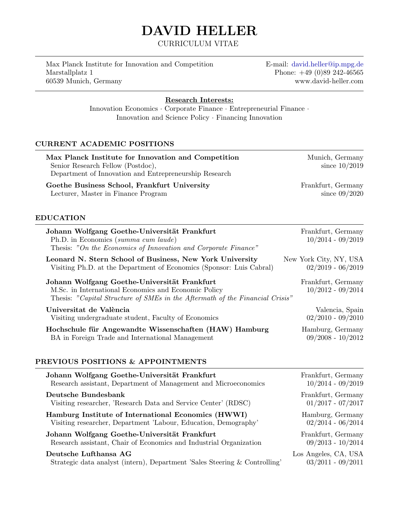# DAVID HELLER

CURRICULUM VITAE

Max Planck Institute for Innovation and Competition E-mail: [david.heller@ip.mpg.de](mailto:david.heller@ip.mpg.de) Marstallplatz 1 Phone: +49 (0)89 242-46565 60539 Munich, Germany<www.david-heller.com>

Research Interests:

Innovation Economics · Corporate Finance · Entrepreneurial Finance · Innovation and Science Policy · Financing Innovation

# CURRENT ACADEMIC POSITIONS

| Max Planck Institute for Innovation and Competition<br>Senior Research Fellow (Postdoc),<br>Department of Innovation and Entrepreneurship Research                                   | Munich, Germany<br>since $10/2019$            |
|--------------------------------------------------------------------------------------------------------------------------------------------------------------------------------------|-----------------------------------------------|
| Goethe Business School, Frankfurt University<br>Lecturer, Master in Finance Program                                                                                                  | Frankfurt, Germany<br>since $09/2020$         |
| <b>EDUCATION</b>                                                                                                                                                                     |                                               |
| Johann Wolfgang Goethe-Universität Frankfurt<br>Ph.D. in Economics (summa cum laude)<br>Thesis: "On the Economics of Innovation and Corporate Finance"                               | Frankfurt, Germany<br>$10/2014 - 09/2019$     |
| Leonard N. Stern School of Business, New York University<br>Visiting Ph.D. at the Department of Economics (Sponsor: Luis Cabral)                                                     | New York City, NY, USA<br>$02/2019 - 06/2019$ |
| Johann Wolfgang Goethe-Universität Frankfurt<br>M.Sc. in International Economics and Economic Policy<br>Thesis: "Capital Structure of SMEs in the Aftermath of the Financial Crisis" | Frankfurt, Germany<br>$10/2012 - 09/2014$     |
| Universitat de València<br>Visiting undergraduate student, Faculty of Economics                                                                                                      | Valencia, Spain<br>$02/2010 - 09/2010$        |
| Hochschule für Angewandte Wissenschaften (HAW) Hamburg<br>BA in Foreign Trade and International Management                                                                           | Hamburg, Germany<br>$09/2008 - 10/2012$       |
| PREVIOUS POSITIONS & APPOINTMENTS                                                                                                                                                    |                                               |
| Johann Wolfgang Goethe-Universität Frankfurt<br>Research assistant, Department of Management and Microeconomics                                                                      | Frankfurt, Germany<br>$10/2014 - 09/2019$     |
| <b>Deutsche Bundesbank</b>                                                                                                                                                           | Frankfurt, Germany                            |

Visiting researcher, 'Research Data and Service Center' (RDSC) 01/2017 - 07/2017 Hamburg Institute of International Economics (HWWI) Hamburg, Germany - Visiting researcher, Department 'Labour, Education, Demography' 02/2014 - 06/2014 Johann Wolfgang Goethe-Universität Frankfurt Frankfurt Frankfurt, Germany Research assistant, Chair of Economics and Industrial Organization 09/2013 - 10/2014

## Deutsche Lufthansa AG Los Angeles, CA, USA

- Strategic data analyst (intern), Department 'Sales Steering & Controlling' 03/2011 - 09/2011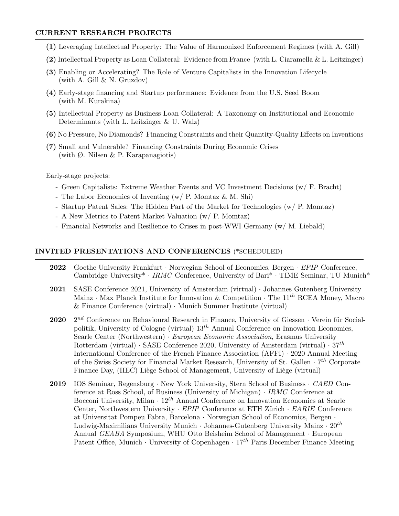## CURRENT RESEARCH PROJECTS

- (1) Leveraging Intellectual Property: The Value of Harmonized Enforcement Regimes (with A. Gill)
- (2) Intellectual Property as Loan Collateral: Evidence from France (with L. Ciaramella & L. Leitzinger)
- (3) Enabling or Accelerating? The Role of Venture Capitalists in the Innovation Lifecycle (with A. Gill  $& N.$  Gruzdov)
- (4) Early-stage financing and Startup performance: Evidence from the U.S. Seed Boom  $(with M. Kurakina)$
- (5) Intellectual Property as Business Loan Collateral: A Taxonomy on Institutional and Economic Determinants (with L. Leitzinger  $&$  U. Walz)
- (6) No Pressure, No Diamonds? Financing Constraints and their Quantity-Quality Effects on Inventions
- (7) Small and Vulnerable? Financing Constraints During Economic Crises (with  $\emptyset$ . Nilsen & P. Karapanagiotis)

Early-stage projects:

- Green Capitalists: Extreme Weather Events and VC Investment Decisions (w/ F. Bracht)
- The Labor Economics of Inventing (w/ P. Momtaz & M. Shi)
- Startup Patent Sales: The Hidden Part of the Market for Technologies (w/ P. Momtaz)
- A New Metrics to Patent Market Valuation (w/ P. Momtaz)
- Financial Networks and Resilience to Crises in post-WWI Germany (w/ M. Liebald)

## INVITED PRESENTATIONS AND CONFERENCES (\*SCHEDULED)

- 2022 Goethe University Frankfurt · Norwegian School of Economics, Bergen · EPIP Conference, Cambridge University\* · IRMC Conference, University of Bari\* · TIME Seminar, TU Munich\*
- 2021 SASE Conference 2021, University of Amsterdam (virtual) · Johannes Gutenberg University Mainz · Max Planck Institute for Innovation & Competition  $\cdot$  The 11<sup>th</sup> RCEA Money, Macro & Finance Conference (virtual) · Munich Summer Institute (virtual)
- 2020 2  $2^{nd}$  Conference on Behavioural Research in Finance, University of Giessen · Verein für Socialpolitik, University of Cologne (virtual)  $13^{th}$  Annual Conference on Innovation Economics, Searle Center (Northwestern) · European Economic Association, Erasmus University Rotterdam (virtual) · SASE Conference 2020, University of Amsterdam (virtual) ·  $37<sup>th</sup>$ International Conference of the French Finance Association (AFFI) · 2020 Annual Meeting of the Swiss Society for Financial Market Research, University of St. Gallen  $\cdot$  7<sup>th</sup> Corporate Finance Day, (HEC) Liège School of Management, University of Liège (virtual)
- 2019 IOS Seminar, Regensburg · New York University, Stern School of Business · CAED Conference at Ross School, of Business (University of Michigan) · IRMC Conference at Bocconi University, Milan  $\cdot 12^{th}$  Annual Conference on Innovation Economics at Searle Center, Northwestern University  $\cdot$  *EPIP* Conference at ETH Zürich  $\cdot$  *EARIE* Conference at Universitat Pompeu Fabra, Barcelona · Norwegian School of Economics, Bergen · Ludwig-Maximilians University Munich  $\cdot$  Johannes-Gutenberg University Mainz  $\cdot$  20<sup>th</sup> Annual GEABA Symposium, WHU Otto Beisheim School of Management · European Patent Office, Munich · University of Copenhagen · 17<sup>th</sup> Paris December Finance Meeting